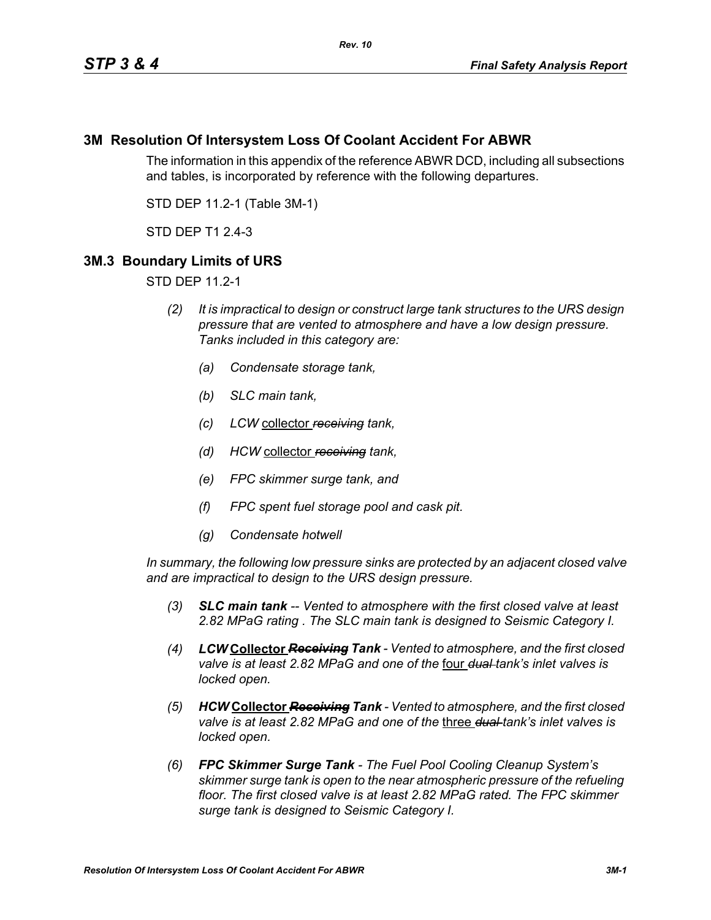## **3M Resolution Of Intersystem Loss Of Coolant Accident For ABWR**

The information in this appendix of the reference ABWR DCD, including all subsections and tables, is incorporated by reference with the following departures.

STD DEP 11.2-1 (Table 3M-1)

STD DEP T1 2.4-3

## **3M.3 Boundary Limits of URS**

STD DEP 11.2-1

- *(2) It is impractical to design or construct large tank structures to the URS design pressure that are vented to atmosphere and have a low design pressure. Tanks included in this category are:*
	- *(a) Condensate storage tank,*
	- *(b) SLC main tank,*
	- *(c) LCW* collector *receiving tank,*
	- *(d) HCW* collector *receiving tank,*
	- *(e) FPC skimmer surge tank, and*
	- *(f) FPC spent fuel storage pool and cask pit.*
	- *(g) Condensate hotwell*

*In summary, the following low pressure sinks are protected by an adjacent closed valve and are impractical to design to the URS design pressure.*

- *(3) SLC main tank -- Vented to atmosphere with the first closed valve at least 2.82 MPaG rating . The SLC main tank is designed to Seismic Category I.*
- *(4) LCW* **Collector** *Receiving Tank Vented to atmosphere, and the first closed valve is at least 2.82 MPaG and one of the* four *dual tank's inlet valves is locked open.*
- *(5) HCW* **Collector** *Receiving Tank Vented to atmosphere, and the first closed valve is at least 2.82 MPaG and one of the* three *dual tank's inlet valves is locked open.*
- *(6) FPC Skimmer Surge Tank The Fuel Pool Cooling Cleanup System's skimmer surge tank is open to the near atmospheric pressure of the refueling floor. The first closed valve is at least 2.82 MPaG rated. The FPC skimmer surge tank is designed to Seismic Category I.*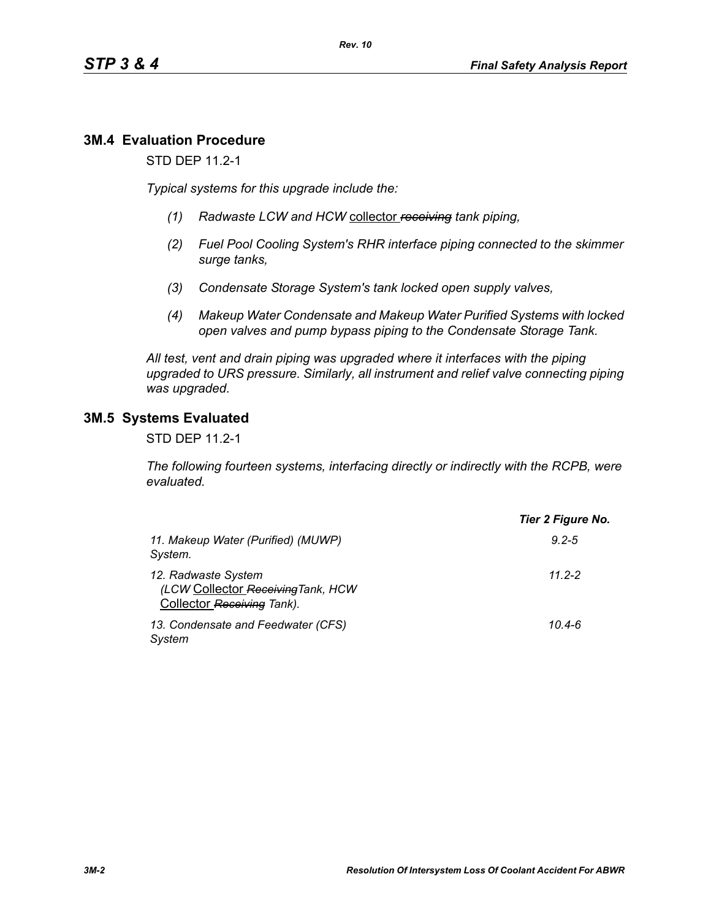# **3M.4 Evaluation Procedure**

STD DEP 11.2-1

*Typical systems for this upgrade include the:*

- *(1) Radwaste LCW and HCW* collector *receiving tank piping,*
- *(2) Fuel Pool Cooling System's RHR interface piping connected to the skimmer surge tanks,*
- *(3) Condensate Storage System's tank locked open supply valves,*
- *(4) Makeup Water Condensate and Makeup Water Purified Systems with locked open valves and pump bypass piping to the Condensate Storage Tank.*

*All test, vent and drain piping was upgraded where it interfaces with the piping upgraded to URS pressure. Similarly, all instrument and relief valve connecting piping was upgraded.*

## **3M.5 Systems Evaluated**

STD DEP 11.2-1

*The following fourteen systems, interfacing directly or indirectly with the RCPB, were evaluated.*

|                                                                                         | Tier 2 Figure No. |
|-----------------------------------------------------------------------------------------|-------------------|
| 11. Makeup Water (Purified) (MUWP)<br>System.                                           | $9.2 - 5$         |
| 12. Radwaste System<br>(LCW Collector Receiving Tank, HCW<br>Collector Receiving Tank). | $11.2 - 2$        |
| 13. Condensate and Feedwater (CFS)<br>System                                            | $10.4 - 6$        |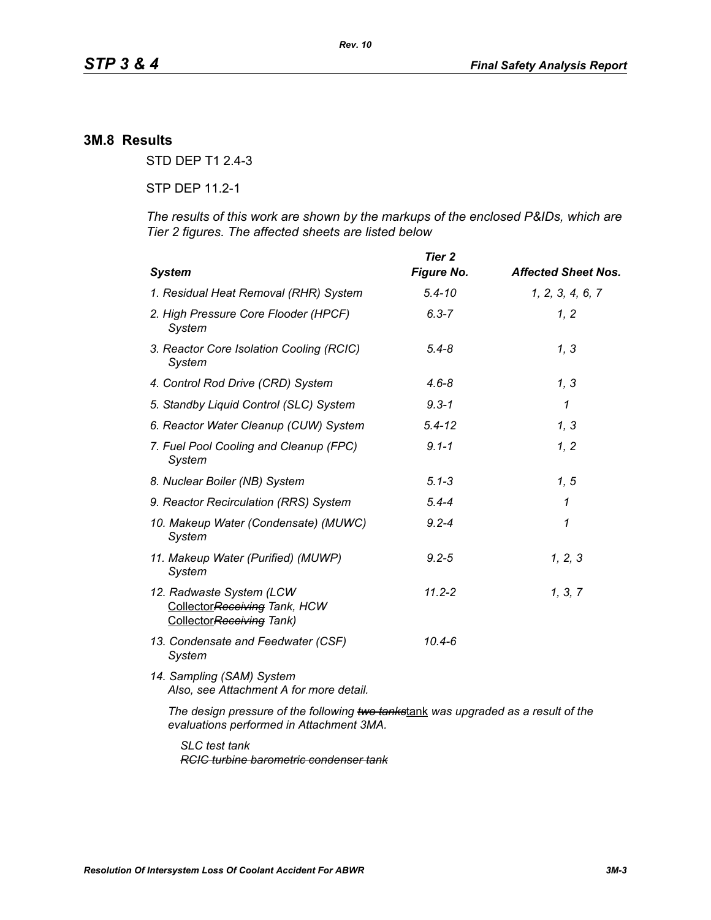### **3M.8 Results**

STD DEP T1 2.4-3

STP DEP 11.2-1

*The results of this work are shown by the markups of the enclosed P&IDs, which are Tier 2 figures. The affected sheets are listed below*

| <b>System</b>                                                                         | <b>Tier 2</b><br><b>Figure No.</b> | <b>Affected Sheet Nos.</b> |
|---------------------------------------------------------------------------------------|------------------------------------|----------------------------|
| 1. Residual Heat Removal (RHR) System                                                 | $5.4 - 10$                         | 1, 2, 3, 4, 6, 7           |
| 2. High Pressure Core Flooder (HPCF)<br>System                                        | $6.3 - 7$                          | 1, 2                       |
| 3. Reactor Core Isolation Cooling (RCIC)<br>System                                    | $5.4 - 8$                          | 1, 3                       |
| 4. Control Rod Drive (CRD) System                                                     | $4.6 - 8$                          | 1, 3                       |
| 5. Standby Liquid Control (SLC) System                                                | $9.3 - 1$                          | $\mathcal I$               |
| 6. Reactor Water Cleanup (CUW) System                                                 | $5.4 - 12$                         | 1, 3                       |
| 7. Fuel Pool Cooling and Cleanup (FPC)<br>System                                      | $9.1 - 1$                          | 1, 2                       |
| 8. Nuclear Boiler (NB) System                                                         | $5.1 - 3$                          | 1, 5                       |
| 9. Reactor Recirculation (RRS) System                                                 | $5.4 - 4$                          | 1                          |
| 10. Makeup Water (Condensate) (MUWC)<br>System                                        | $9.2 - 4$                          | 1                          |
| 11. Makeup Water (Purified) (MUWP)<br>System                                          | $9.2 - 5$                          | 1, 2, 3                    |
| 12. Radwaste System (LCW<br>Collector Receiving Tank, HCW<br>CollectorReceiving Tank) | $11.2 - 2$                         | 1, 3, 7                    |
| 13. Condensate and Feedwater (CSF)<br>System                                          | $10.4 - 6$                         |                            |
| 14. Sampling (SAM) System<br>Also, see Attachment A for more detail.                  |                                    |                            |
| The design pressure of the following two tankstank was upgraded as a result of the    |                                    |                            |

*evaluations performed in Attachment 3MA.*

*SLC test tank RCIC turbine barometric condenser tank*